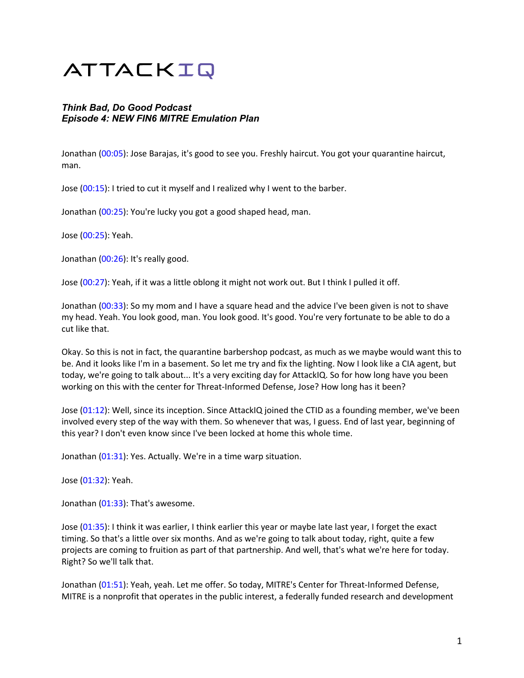# ATTACKIQ

# *Think Bad, Do Good Podcast Episode 4: NEW FIN6 MITRE Emulation Plan*

Jonathan (00:05): Jose Barajas, it's good to see you. Freshly haircut. You got your quarantine haircut, man.

Jose (00:15): I tried to cut it myself and I realized why I went to the barber.

Jonathan (00:25): You're lucky you got a good shaped head, man.

Jose (00:25): Yeah.

Jonathan (00:26): It's really good.

Jose (00:27): Yeah, if it was a little oblong it might not work out. But I think I pulled it off.

Jonathan (00:33): So my mom and I have a square head and the advice I've been given is not to shave my head. Yeah. You look good, man. You look good. It's good. You're very fortunate to be able to do a cut like that.

Okay. So this is not in fact, the quarantine barbershop podcast, as much as we maybe would want this to be. And it looks like I'm in a basement. So let me try and fix the lighting. Now I look like a CIA agent, but today, we're going to talk about... It's a very exciting day for AttackIQ. So for how long have you been working on this with the center for Threat-Informed Defense, Jose? How long has it been?

Jose (01:12): Well, since its inception. Since AttackIQ joined the CTID as a founding member, we've been involved every step of the way with them. So whenever that was, I guess. End of last year, beginning of this year? I don't even know since I've been locked at home this whole time.

Jonathan (01:31): Yes. Actually. We're in a time warp situation.

Jose (01:32): Yeah.

Jonathan (01:33): That's awesome.

Jose (01:35): I think it was earlier, I think earlier this year or maybe late last year, I forget the exact timing. So that's a little over six months. And as we're going to talk about today, right, quite a few projects are coming to fruition as part of that partnership. And well, that's what we're here for today. Right? So we'll talk that.

Jonathan (01:51): Yeah, yeah. Let me offer. So today, MITRE's Center for Threat-Informed Defense, MITRE is a nonprofit that operates in the public interest, a federally funded research and development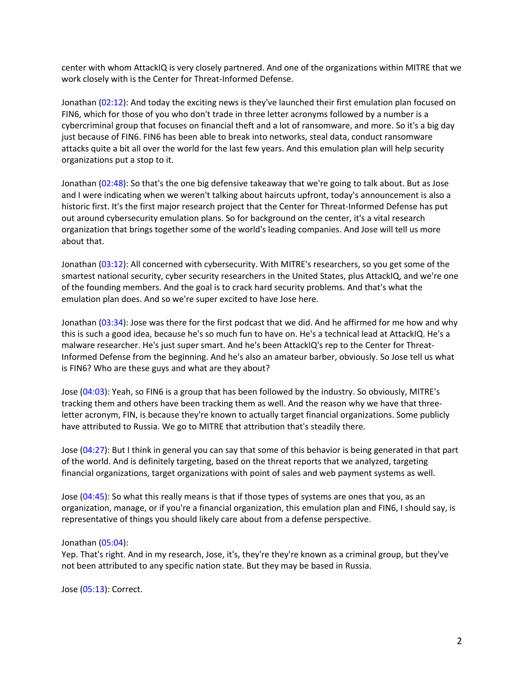center with whom AttackIQ is very closely partnered. And one of the organizations within MITRE that we work closely with is the Center for Threat-Informed Defense.

Jonathan (02:12): And today the exciting news is they've launched their first emulation plan focused on FIN6, which for those of you who don't trade in three letter acronyms followed by a number is a cybercriminal group that focuses on financial theft and a lot of ransomware, and more. So it's a big day just because of FIN6. FIN6 has been able to break into networks, steal data, conduct ransomware attacks quite a bit all over the world for the last few years. And this emulation plan will help security organizations put a stop to it.

Jonathan (02:48): So that's the one big defensive takeaway that we're going to talk about. But as Jose and I were indicating when we weren't talking about haircuts upfront, today's announcement is also a historic first. It's the first major research project that the Center for Threat-Informed Defense has put out around cybersecurity emulation plans. So for background on the center, it's a vital research organization that brings together some of the world's leading companies. And Jose will tell us more about that.

Jonathan (03:12): All concerned with cybersecurity. With MITRE's researchers, so you get some of the smartest national security, cyber security researchers in the United States, plus AttackIQ, and we're one of the founding members. And the goal is to crack hard security problems. And that's what the emulation plan does. And so we're super excited to have Jose here.

Jonathan (03:34): Jose was there for the first podcast that we did. And he affirmed for me how and why this is such a good idea, because he's so much fun to have on. He's a technical lead at AttackIQ. He's a malware researcher. He's just super smart. And he's been AttackIQ's rep to the Center for Threat-Informed Defense from the beginning. And he's also an amateur barber, obviously. So Jose tell us what is FIN6? Who are these guys and what are they about?

Jose (04:03): Yeah, so FIN6 is a group that has been followed by the industry. So obviously, MITRE's tracking them and others have been tracking them as well. And the reason why we have that threeletter acronym, FIN, is because they're known to actually target financial organizations. Some publicly have attributed to Russia. We go to MITRE that attribution that's steadily there.

Jose (04:27): But I think in general you can say that some of this behavior is being generated in that part of the world. And is definitely targeting, based on the threat reports that we analyzed, targeting financial organizations, target organizations with point of sales and web payment systems as well.

Jose (04:45): So what this really means is that if those types of systems are ones that you, as an organization, manage, or if you're a financial organization, this emulation plan and FIN6, I should say, is representative of things you should likely care about from a defense perspective.

#### Jonathan (05:04):

Yep. That's right. And in my research, Jose, it's, they're they're known as a criminal group, but they've not been attributed to any specific nation state. But they may be based in Russia.

Jose (05:13): Correct.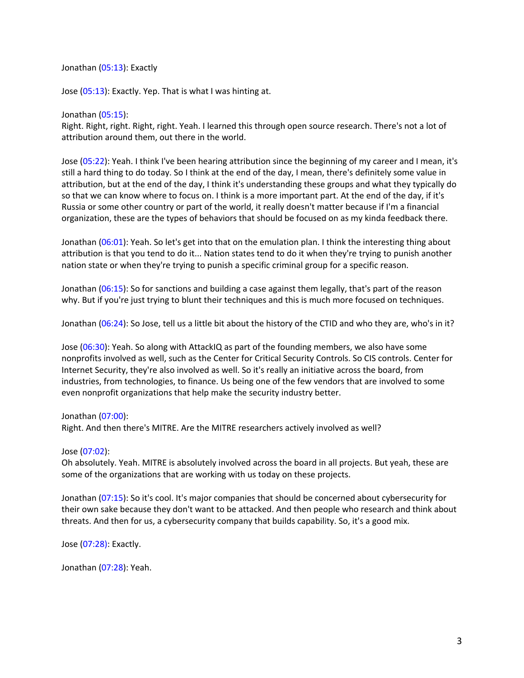Jonathan (05:13): Exactly

Jose (05:13): Exactly. Yep. That is what I was hinting at.

#### Jonathan (05:15):

Right. Right, right. Right, right. Yeah. I learned this through open source research. There's not a lot of attribution around them, out there in the world.

Jose (05:22): Yeah. I think I've been hearing attribution since the beginning of my career and I mean, it's still a hard thing to do today. So I think at the end of the day, I mean, there's definitely some value in attribution, but at the end of the day, I think it's understanding these groups and what they typically do so that we can know where to focus on. I think is a more important part. At the end of the day, if it's Russia or some other country or part of the world, it really doesn't matter because if I'm a financial organization, these are the types of behaviors that should be focused on as my kinda feedback there.

Jonathan (06:01): Yeah. So let's get into that on the emulation plan. I think the interesting thing about attribution is that you tend to do it... Nation states tend to do it when they're trying to punish another nation state or when they're trying to punish a specific criminal group for a specific reason.

Jonathan (06:15): So for sanctions and building a case against them legally, that's part of the reason why. But if you're just trying to blunt their techniques and this is much more focused on techniques.

Jonathan (06:24): So Jose, tell us a little bit about the history of the CTID and who they are, who's in it?

Jose (06:30): Yeah. So along with AttackIQ as part of the founding members, we also have some nonprofits involved as well, such as the Center for Critical Security Controls. So CIS controls. Center for Internet Security, they're also involved as well. So it's really an initiative across the board, from industries, from technologies, to finance. Us being one of the few vendors that are involved to some even nonprofit organizations that help make the security industry better.

## Jonathan (07:00):

Right. And then there's MITRE. Are the MITRE researchers actively involved as well?

## Jose (07:02):

Oh absolutely. Yeah. MITRE is absolutely involved across the board in all projects. But yeah, these are some of the organizations that are working with us today on these projects.

Jonathan (07:15): So it's cool. It's major companies that should be concerned about cybersecurity for their own sake because they don't want to be attacked. And then people who research and think about threats. And then for us, a cybersecurity company that builds capability. So, it's a good mix.

Jose (07:28): Exactly.

Jonathan (07:28): Yeah.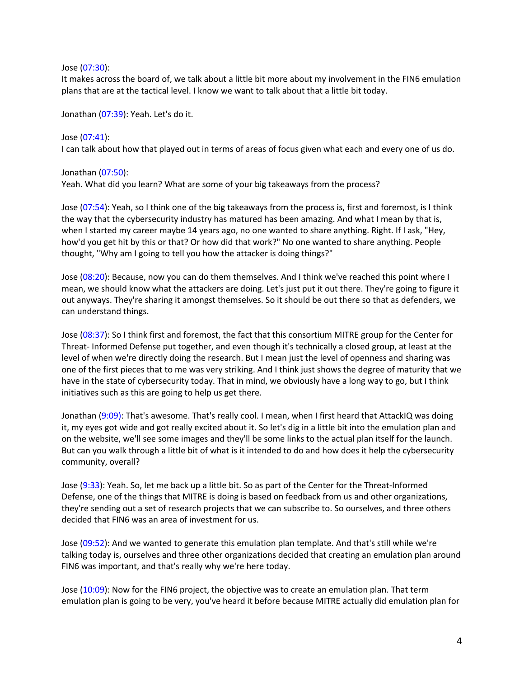#### Jose (07:30):

It makes across the board of, we talk about a little bit more about my involvement in the FIN6 emulation plans that are at the tactical level. I know we want to talk about that a little bit today.

Jonathan (07:39): Yeah. Let's do it.

Jose (07:41): I can talk about how that played out in terms of areas of focus given what each and every one of us do.

Jonathan (07:50):

Yeah. What did you learn? What are some of your big takeaways from the process?

Jose (07:54): Yeah, so I think one of the big takeaways from the process is, first and foremost, is I think the way that the cybersecurity industry has matured has been amazing. And what I mean by that is, when I started my career maybe 14 years ago, no one wanted to share anything. Right. If I ask, "Hey, how'd you get hit by this or that? Or how did that work?" No one wanted to share anything. People thought, "Why am I going to tell you how the attacker is doing things?"

Jose (08:20): Because, now you can do them themselves. And I think we've reached this point where I mean, we should know what the attackers are doing. Let's just put it out there. They're going to figure it out anyways. They're sharing it amongst themselves. So it should be out there so that as defenders, we can understand things.

Jose (08:37): So I think first and foremost, the fact that this consortium MITRE group for the Center for Threat- Informed Defense put together, and even though it's technically a closed group, at least at the level of when we're directly doing the research. But I mean just the level of openness and sharing was one of the first pieces that to me was very striking. And I think just shows the degree of maturity that we have in the state of cybersecurity today. That in mind, we obviously have a long way to go, but I think initiatives such as this are going to help us get there.

Jonathan (9:09): That's awesome. That's really cool. I mean, when I first heard that AttackIQ was doing it, my eyes got wide and got really excited about it. So let's dig in a little bit into the emulation plan and on the website, we'll see some images and they'll be some links to the actual plan itself for the launch. But can you walk through a little bit of what is it intended to do and how does it help the cybersecurity community, overall?

Jose (9:33): Yeah. So, let me back up a little bit. So as part of the Center for the Threat-Informed Defense, one of the things that MITRE is doing is based on feedback from us and other organizations, they're sending out a set of research projects that we can subscribe to. So ourselves, and three others decided that FIN6 was an area of investment for us.

Jose (09:52): And we wanted to generate this emulation plan template. And that's still while we're talking today is, ourselves and three other organizations decided that creating an emulation plan around FIN6 was important, and that's really why we're here today.

Jose (10:09): Now for the FIN6 project, the objective was to create an emulation plan. That term emulation plan is going to be very, you've heard it before because MITRE actually did emulation plan for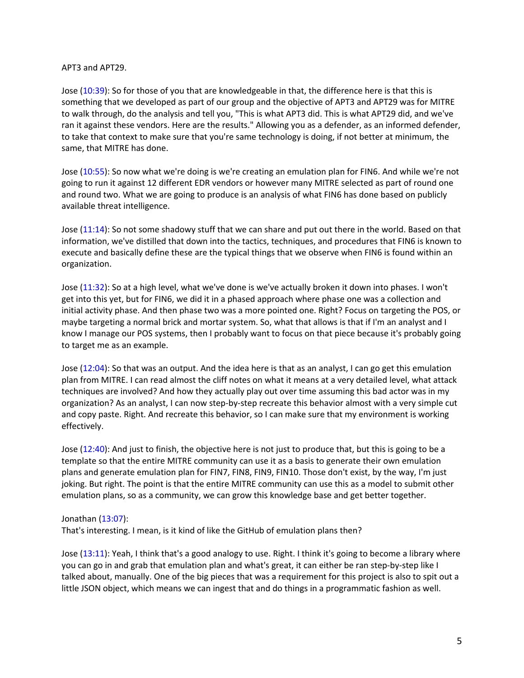#### APT3 and APT29.

Jose (10:39): So for those of you that are knowledgeable in that, the difference here is that this is something that we developed as part of our group and the objective of APT3 and APT29 was for MITRE to walk through, do the analysis and tell you, "This is what APT3 did. This is what APT29 did, and we've ran it against these vendors. Here are the results." Allowing you as a defender, as an informed defender, to take that context to make sure that you're same technology is doing, if not better at minimum, the same, that MITRE has done.

Jose (10:55): So now what we're doing is we're creating an emulation plan for FIN6. And while we're not going to run it against 12 different EDR vendors or however many MITRE selected as part of round one and round two. What we are going to produce is an analysis of what FIN6 has done based on publicly available threat intelligence.

Jose (11:14): So not some shadowy stuff that we can share and put out there in the world. Based on that information, we've distilled that down into the tactics, techniques, and procedures that FIN6 is known to execute and basically define these are the typical things that we observe when FIN6 is found within an organization.

Jose (11:32): So at a high level, what we've done is we've actually broken it down into phases. I won't get into this yet, but for FIN6, we did it in a phased approach where phase one was a collection and initial activity phase. And then phase two was a more pointed one. Right? Focus on targeting the POS, or maybe targeting a normal brick and mortar system. So, what that allows is that if I'm an analyst and I know I manage our POS systems, then I probably want to focus on that piece because it's probably going to target me as an example.

Jose (12:04): So that was an output. And the idea here is that as an analyst, I can go get this emulation plan from MITRE. I can read almost the cliff notes on what it means at a very detailed level, what attack techniques are involved? And how they actually play out over time assuming this bad actor was in my organization? As an analyst, I can now step-by-step recreate this behavior almost with a very simple cut and copy paste. Right. And recreate this behavior, so I can make sure that my environment is working effectively.

Jose (12:40): And just to finish, the objective here is not just to produce that, but this is going to be a template so that the entire MITRE community can use it as a basis to generate their own emulation plans and generate emulation plan for FIN7, FIN8, FIN9, FIN10. Those don't exist, by the way, I'm just joking. But right. The point is that the entire MITRE community can use this as a model to submit other emulation plans, so as a community, we can grow this knowledge base and get better together.

## Jonathan (13:07):

That's interesting. I mean, is it kind of like the GitHub of emulation plans then?

Jose (13:11): Yeah, I think that's a good analogy to use. Right. I think it's going to become a library where you can go in and grab that emulation plan and what's great, it can either be ran step-by-step like I talked about, manually. One of the big pieces that was a requirement for this project is also to spit out a little JSON object, which means we can ingest that and do things in a programmatic fashion as well.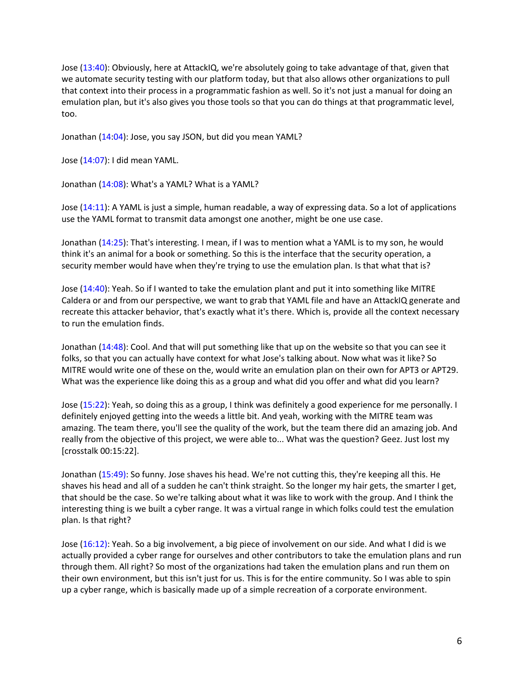Jose (13:40): Obviously, here at AttackIQ, we're absolutely going to take advantage of that, given that we automate security testing with our platform today, but that also allows other organizations to pull that context into their process in a programmatic fashion as well. So it's not just a manual for doing an emulation plan, but it's also gives you those tools so that you can do things at that programmatic level, too.

Jonathan (14:04): Jose, you say JSON, but did you mean YAML?

Jose (14:07): I did mean YAML.

Jonathan (14:08): What's a YAML? What is a YAML?

Jose (14:11): A YAML is just a simple, human readable, a way of expressing data. So a lot of applications use the YAML format to transmit data amongst one another, might be one use case.

Jonathan (14:25): That's interesting. I mean, if I was to mention what a YAML is to my son, he would think it's an animal for a book or something. So this is the interface that the security operation, a security member would have when they're trying to use the emulation plan. Is that what that is?

Jose (14:40): Yeah. So if I wanted to take the emulation plant and put it into something like MITRE Caldera or and from our perspective, we want to grab that YAML file and have an AttackIQ generate and recreate this attacker behavior, that's exactly what it's there. Which is, provide all the context necessary to run the emulation finds.

Jonathan (14:48): Cool. And that will put something like that up on the website so that you can see it folks, so that you can actually have context for what Jose's talking about. Now what was it like? So MITRE would write one of these on the, would write an emulation plan on their own for APT3 or APT29. What was the experience like doing this as a group and what did you offer and what did you learn?

Jose (15:22): Yeah, so doing this as a group, I think was definitely a good experience for me personally. I definitely enjoyed getting into the weeds a little bit. And yeah, working with the MITRE team was amazing. The team there, you'll see the quality of the work, but the team there did an amazing job. And really from the objective of this project, we were able to... What was the question? Geez. Just lost my [crosstalk 00:15:22].

Jonathan (15:49): So funny. Jose shaves his head. We're not cutting this, they're keeping all this. He shaves his head and all of a sudden he can't think straight. So the longer my hair gets, the smarter I get, that should be the case. So we're talking about what it was like to work with the group. And I think the interesting thing is we built a cyber range. It was a virtual range in which folks could test the emulation plan. Is that right?

Jose (16:12): Yeah. So a big involvement, a big piece of involvement on our side. And what I did is we actually provided a cyber range for ourselves and other contributors to take the emulation plans and run through them. All right? So most of the organizations had taken the emulation plans and run them on their own environment, but this isn't just for us. This is for the entire community. So I was able to spin up a cyber range, which is basically made up of a simple recreation of a corporate environment.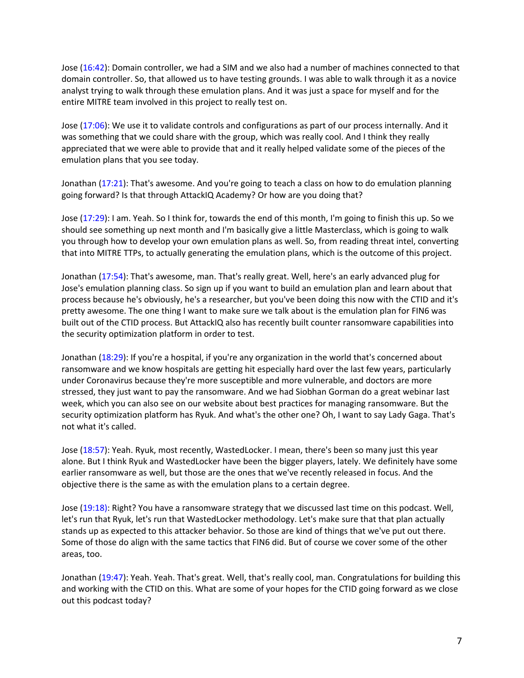Jose (16:42): Domain controller, we had a SIM and we also had a number of machines connected to that domain controller. So, that allowed us to have testing grounds. I was able to walk through it as a novice analyst trying to walk through these emulation plans. And it was just a space for myself and for the entire MITRE team involved in this project to really test on.

Jose (17:06): We use it to validate controls and configurations as part of our process internally. And it was something that we could share with the group, which was really cool. And I think they really appreciated that we were able to provide that and it really helped validate some of the pieces of the emulation plans that you see today.

Jonathan (17:21): That's awesome. And you're going to teach a class on how to do emulation planning going forward? Is that through AttackIQ Academy? Or how are you doing that?

Jose (17:29): I am. Yeah. So I think for, towards the end of this month, I'm going to finish this up. So we should see something up next month and I'm basically give a little Masterclass, which is going to walk you through how to develop your own emulation plans as well. So, from reading threat intel, converting that into MITRE TTPs, to actually generating the emulation plans, which is the outcome of this project.

Jonathan (17:54): That's awesome, man. That's really great. Well, here's an early advanced plug for Jose's emulation planning class. So sign up if you want to build an emulation plan and learn about that process because he's obviously, he's a researcher, but you've been doing this now with the CTID and it's pretty awesome. The one thing I want to make sure we talk about is the emulation plan for FIN6 was built out of the CTID process. But AttackIQ also has recently built counter ransomware capabilities into the security optimization platform in order to test.

Jonathan (18:29): If you're a hospital, if you're any organization in the world that's concerned about ransomware and we know hospitals are getting hit especially hard over the last few years, particularly under Coronavirus because they're more susceptible and more vulnerable, and doctors are more stressed, they just want to pay the ransomware. And we had Siobhan Gorman do a great webinar last week, which you can also see on our website about best practices for managing ransomware. But the security optimization platform has Ryuk. And what's the other one? Oh, I want to say Lady Gaga. That's not what it's called.

Jose (18:57): Yeah. Ryuk, most recently, WastedLocker. I mean, there's been so many just this year alone. But I think Ryuk and WastedLocker have been the bigger players, lately. We definitely have some earlier ransomware as well, but those are the ones that we've recently released in focus. And the objective there is the same as with the emulation plans to a certain degree.

Jose (19:18): Right? You have a ransomware strategy that we discussed last time on this podcast. Well, let's run that Ryuk, let's run that WastedLocker methodology. Let's make sure that that plan actually stands up as expected to this attacker behavior. So those are kind of things that we've put out there. Some of those do align with the same tactics that FIN6 did. But of course we cover some of the other areas, too.

Jonathan (19:47): Yeah. Yeah. That's great. Well, that's really cool, man. Congratulations for building this and working with the CTID on this. What are some of your hopes for the CTID going forward as we close out this podcast today?